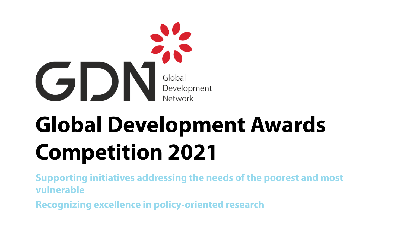

**Supporting initiatives addressing the needs of the poorest and most vulnerable**

**Recognizing excellence in policy-oriented research**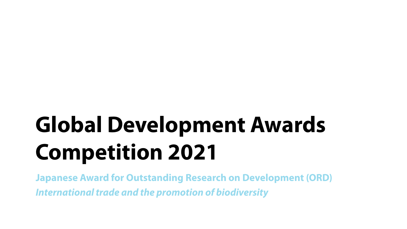**Japanese Award for Outstanding Research on Development (ORD)** *International trade and the promotion of biodiversity*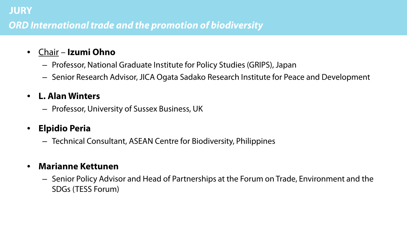## **JURY**  *ORD International trade and the promotion of biodiversity*

- Chair **Izumi Ohno**
	- Professor, National Graduate Institute for Policy Studies (GRIPS), Japan
	- Senior Research Advisor, JICA Ogata Sadako Research Institute for Peace and Development

### • **L. Alan Winters**

– Professor, University of Sussex Business, UK

### • **Elpidio Peria**

– Technical Consultant, ASEAN Centre for Biodiversity, Philippines

#### • **Marianne Kettunen**

– Senior Policy Advisor and Head of Partnerships at the Forum on Trade, Environment and the SDGs (TESS Forum)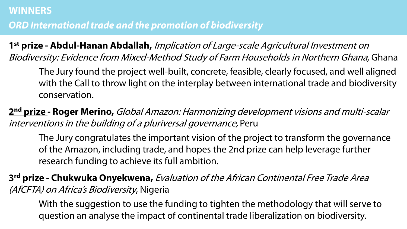# **ORD International trade and the promotion of biodiversity**

**1st prize - Abdul-Hanan Abdallah,** Implication of Large-scale Agricultural Investment on Biodiversity: Evidence from Mixed-Method Study of Farm Households in Northern Ghana, Ghana

The Jury found the project well-built, concrete, feasible, clearly focused, and well aligned with the Call to throw light on the interplay between international trade and biodiversity conservation.

**2nd prize - Roger Merino,** Global Amazon: Harmonizing development visions and multi-scalar interventions in the building of a pluriversal governance, Peru

The Jury congratulates the important vision of the project to transform the governance of the Amazon, including trade, and hopes the 2nd prize can help leverage further research funding to achieve its full ambition.

**3rd prize - Chukwuka Onyekwena,** Evaluation of the African Continental Free Trade Area (AfCFTA) on Africa's Biodiversity, Nigeria

With the suggestion to use the funding to tighten the methodology that will serve to question an analyse the impact of continental trade liberalization on biodiversity.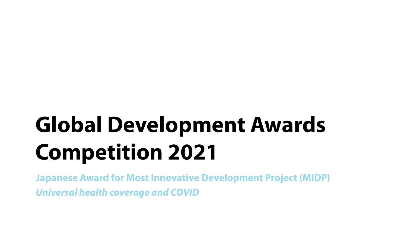**Japanese Award for Most Innovative Development Project (MIDP)** *Universal health coverage and COVID*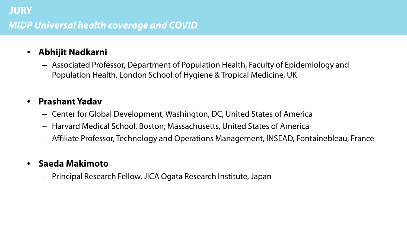### • **Abhijit Nadkarni**

– Associated Professor, Department of Population Health, Faculty of Epidemiology and Population Health, London School of Hygiene & Tropical Medicine, UK

#### • **Prashant Yadav**

- Center for Global Development, Washington, DC, United States of America
- Harvard Medical School, Boston, Massachusetts, United States of America
- Affiliate Professor, Technology and Operations Management, INSEAD, Fontainebleau, France

### • **Saeda Makimoto**

– Principal Research Fellow, JICA Ogata Research Institute, Japan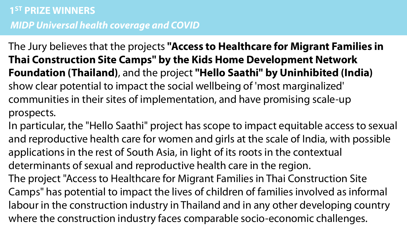The Jury believes that the projects **"Access to Healthcare for Migrant Families in Thai Construction Site Camps" by the Kids Home Development Network Foundation (Thailand)**, and the project **"Hello Saathi" by Uninhibited (India)** show clear potential to impact the social wellbeing of 'most marginalized' communities in their sites of implementation, and have promising scale-up prospects.

In particular, the "Hello Saathi" project has scope to impact equitable access to sexual and reproductive health care for women and girls at the scale of India, with possible applications in the rest of South Asia, in light of its roots in the contextual determinants of sexual and reproductive health care in the region. The project "Access to Healthcare for Migrant Families in Thai Construction Site Camps" has potential to impact the lives of children of families involved as informal labour in the construction industry in Thailand and in any other developing country where the construction industry faces comparable socio-economic challenges.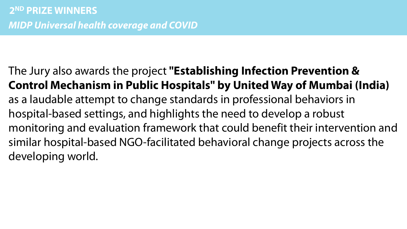The Jury also awards the project **"Establishing Infection Prevention & Control Mechanism in Public Hospitals" by United Way of Mumbai (India)** as a laudable attempt to change standards in professional behaviors in hospital-based settings, and highlights the need to develop a robust monitoring and evaluation framework that could benefit their intervention and similar hospital-based NGO-facilitated behavioral change projects across the developing world.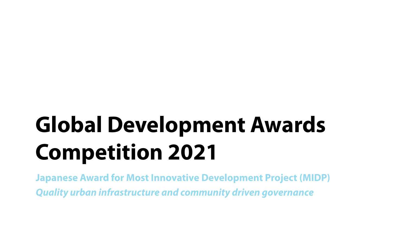**Japanese Award for Most Innovative Development Project (MIDP)** *Quality urban infrastructure and community driven governance*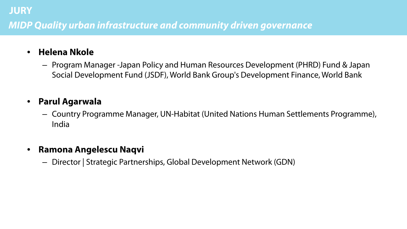## *MIDP Quality urban infrastructure and community driven governance*

#### • **Helena Nkole**

 **JURY**

– Program Manager -Japan Policy and Human Resources Development (PHRD) Fund & Japan Social Development Fund (JSDF), World Bank Group's Development Finance, World Bank

### • **Parul Agarwala**

– Country Programme Manager, UN-Habitat (United Nations Human Settlements Programme), India

#### • **Ramona Angelescu Naqvi**

– Director | Strategic Partnerships, Global Development Network (GDN)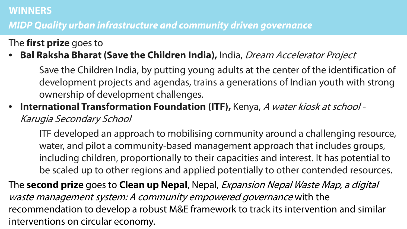#### **WINNERS**

## **FINALISTS**  *MIDP Quality urban infrastructure and community driven governance*

The **first prize** goes to

## • **Bal Raksha Bharat (Save the Children India),** India, Dream Accelerator Project

Save the Children India, by putting young adults at the center of the identification of development projects and agendas, trains a generations of Indian youth with strong ownership of development challenges.

• **International Transformation Foundation (ITF),** Kenya, A water kiosk at school - Karugia Secondary School

ITF developed an approach to mobilising community around a challenging resource, water, and pilot a community-based management approach that includes groups, including children, proportionally to their capacities and interest. It has potential to be scaled up to other regions and applied potentially to other contended resources.

The **second prize** goes to **Clean up Nepal**, Nepal, Expansion Nepal Waste Map, a digital waste management system: A community empowered governance with the recommendation to develop a robust M&E framework to track its intervention and similar interventions on circular economy.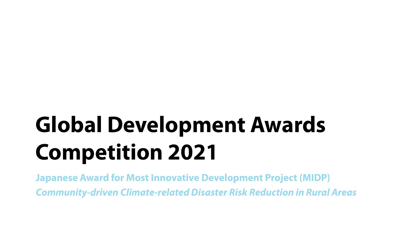**Japanese Award for Most Innovative Development Project (MIDP)** *Community-driven Climate-related Disaster Risk Reduction in Rural Areas*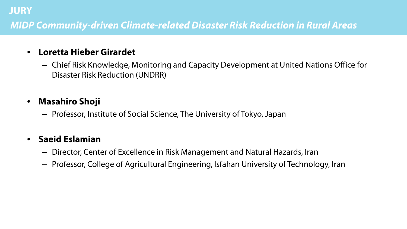## *MIDP Community-driven Climate-related Disaster Risk Reduction in Rural Areas*

### • **Loretta Hieber Girardet**

– Chief Risk Knowledge, Monitoring and Capacity Development at United Nations Office for Disaster Risk Reduction (UNDRR)

## • **Masahiro Shoji**

 **JURY**

– Professor, Institute of Social Science, The University of Tokyo, Japan

### • **Saeid Eslamian**

- Director, Center of Excellence in Risk Management and Natural Hazards, Iran
- Professor, College of Agricultural Engineering, Isfahan University of Technology, Iran